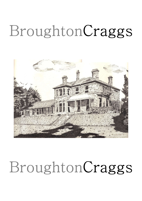

## BroughtonCraggs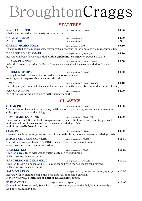#### STARTERS

| <b>VEGETABLE SOUP</b><br>Chef's soup served with a crusty roll and butter.                                                                                                                                          | Allergen Advice $(2)(7)(13)$                              | £4.90           |
|---------------------------------------------------------------------------------------------------------------------------------------------------------------------------------------------------------------------|-----------------------------------------------------------|-----------------|
| <b>GARLIC BREAD</b><br><b>ADD CHEESE</b>                                                                                                                                                                            | Allergen Advice (2)<br>Allergen Advice (2)(7)             | £3.90<br>$+25p$ |
| <b>GARLIC MUSHROOMS</b><br>Crispy coated garlic mushrooms, served with a seasonal salad and a garlic mayonnaise dip.                                                                                                | Allergen Advice $(2)(4)$                                  | £5.10           |
| <b>DEEP FRIED CALAMARI</b><br>Served on a bed of seasonal salad, with a garlic mayonnaise or sweet chili dip.                                                                                                       | Allergen Advice $(2)(4)(7)(8)(9)$                         | £5.10           |
| <b>PRAWN PLATTER</b><br>Atlantic prawns topped with Marie Rose sauce, served with seasonal salad and brown<br>bread.                                                                                                | Allergen Advice (2)(3)(4)(7)(13)(14)                      | £6.50           |
| <b>CHICKEN STRIPS</b><br>Crispy breaded chicken strips, served with a seasonal salad<br>and a garlic mayonnaise or sweet chili dip.                                                                                 | Allergen Advice $(1)(2)(4)(9)$                            | £6.50           |
| <b>PATE</b><br>Farmhouse pate on a bed of seasonal salad, served with toasted fingers and a tomato chutney.                                                                                                         | Allergen Advice $(1)(2)(4)(7)(9)(10)(13)$                 | £6.10           |
| <b>FAN OF MELON</b><br>Fan of honeydew melon drizzled with raspberry coulis.                                                                                                                                        | Allergen Advice                                           | £4.90           |
|                                                                                                                                                                                                                     | <b>CLASSICS</b>                                           |                 |
| <b>STEAK PIE</b><br>Tender pieces of steak in a rich gravy, with a short crust pastry, served with homemade<br>chips, peas, carrots and a rich gravy.                                                               | Allergen Advice $(1)(2)(4)(7)$                            | £9.90           |
| <b>HOMEMADE LASAGNE</b><br>Layers of minced British beef, Bolognese sauce, pasta, Béchamel sauce and topped with<br>melted cheddar cheese, served with a seasonal salad garnish<br>and either garlic bread or chips | Allergen Advice $(1)(2)(4)(7)(13)$                        | £9.90           |
| <b>SCAMPI</b><br>Breaded wholetail scampi, served with homemade chips, peas and seasonal salad garnish.                                                                                                             | Allergen Advice $(2)(3)(4)(9)$                            | £9.90           |
| <b>STICKY CHICKEN SKEWERS</b><br>Glazed in a sweet chili sauce or BBQ sauce on a bed of onions and peppers,<br>served with <b>chips</b> or <b>rice</b> or $\frac{1}{2}$ and $\frac{1}{2}$                           | Allergen Advice $(1)(2)(13)$                              | £12.50          |
| <b>CHICKEN KIEV</b><br>Chicken parcel filled with garlic butter coated in breadcrumbs<br>with chips and seasonal salad.                                                                                             | Allergen Advice $(1)(2)(4)(7)$                            | £10.20          |
| <b>RANCHERO CHICKEN MELT</b><br>Chicken fillet with bacon and BBQ sauce topped with melted mozzarella served<br>with chips and seasonal salad.                                                                      | Allergen Advice $(7)(10)(12)(14)$                         | £11.20          |
| <b>SALMON STEAK</b><br>Served with homemade chips and peas and seasonal salad garnish.<br>Have it your way plain, sweet chili or hollandaise sauce.                                                                 | Allergen Advice (5) (Hollandaise add $(1)(2)(4)(7)(13)$ ) | £15.50          |
| <b>FISH &amp; CHIPS</b><br>Allergen Advice (7)(10)(12)(14)<br>Crispy hand-battered cod, Served with tartare sauce, seasonal salad, homemade chips<br>and optional mushy peas.                                       |                                                           | £13.90          |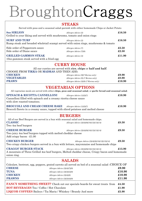### **STEAKS**

| Served with peas and a seasonal salad garnish with either homemade Chips or Jacket Potato                                                            |                                                      |                                |  |  |
|------------------------------------------------------------------------------------------------------------------------------------------------------|------------------------------------------------------|--------------------------------|--|--|
| <b>80z SIRLION</b><br>Grilled to your liking and served with mushrooms, tomato and onion rings                                                       | Allergen Advice (2)                                  | $\pounds16.50$                 |  |  |
| <b>SURF AND TURF</b><br>$\pounds16.50$<br>Allergen Advice (2)<br>Rump steak and breaded wholetail scampi served with onion rings, mushrooms & tomato |                                                      |                                |  |  |
| Side order of Peppercorn sauce<br>Side order of Diane sauce                                                                                          | <i>Allergen Advice</i> (7)<br>Allergen Advice (7)(9) | $\pounds2.50$<br>$\pounds2.50$ |  |  |
| <b>GRILLED GAMMON STEAK</b><br>10oz gammon steak served with a fried egg                                                                             | Allergen Advice (4)                                  | £11.90                         |  |  |
| CHRRY HOUSE                                                                                                                                          |                                                      |                                |  |  |

#### CURRY HOUSE

#### All our curries are served with rice, chips or half and half.

| <b>CHICKEN</b><br><b>VEGETABLES</b> | Allergen Advice (9)(7 Korma only)<br>Allergen Advice (9) (7 Korma only) | £9.90<br>£8.90 |
|-------------------------------------|-------------------------------------------------------------------------|----------------|
| <b>PRAWN</b>                        | Allergen Advice (3)(9) (7 Korma only)                                   | £10.90         |
|                                     |                                                                         |                |

#### VEGETARIAN OPTIONS

| All vegetarian meals are served with either chips, peas and seasonal salad, or garlic bread and seasonal salad.                                                                                     |                                                                                                                                     |        |  |  |
|-----------------------------------------------------------------------------------------------------------------------------------------------------------------------------------------------------|-------------------------------------------------------------------------------------------------------------------------------------|--------|--|--|
| <b>SPINACH &amp; RICOTTA CANNELLONI</b><br>Cannelloni filled with spinach and a creamy ricotta cheese sauce<br>with slow roasted tomatoes.                                                          | Allergen Advice $(1)(2)(7)$                                                                                                         | £10.90 |  |  |
| <b>BROCCOLI AND CREAM CHEESE BAKE</b>                                                                                                                                                               | Allergen Advice $(1)(2)(7)$<br>Broccoli florets in a creamy sauce, topped with sliced potatoes and melted cheese                    | £10.90 |  |  |
|                                                                                                                                                                                                     | <b>BURGERS</b>                                                                                                                      |        |  |  |
| <b>CLASSIC</b><br>Two 4oz beef burgers                                                                                                                                                              | All of our Beef Burgers are served in a bun with seasonal salad and homemade chips.<br>Allergen Advice (2)(4)(9)(10)(12)(13)(14)    | £8.50  |  |  |
| <b>CHEESE BURGER</b><br>Two juicy 4oz beef burgers topped with melted cheddar cheese<br>Add crispy bacon $-$ £1.00                                                                                  | Allergen Advice (2)(4)(9)(10)(12)(13)(14)                                                                                           | £9.50  |  |  |
| <b>CHICKEN BURGER</b>                                                                                                                                                                               | Allergen Advice (2)(4)(9)(10)(12)(13)(14)<br>Two crispy chicken burgers served in a bun with lettuce, mayonnaise and homemade chips | £9.50  |  |  |
| <b>CRAGGS' BURGER STACK</b><br>£13.90<br>Allergen Advice (2)(4)(9)(10)(12)(13)(14)<br>A mountain of Three Grilled 4oz beef burgers, Melted cheddar cheese, Crispy bacon and homemade<br>onion ring. |                                                                                                                                     |        |  |  |
|                                                                                                                                                                                                     | <b>SALADS</b>                                                                                                                       |        |  |  |
|                                                                                                                                                                                                     | Coleslaw, beetroot, egg, peppers, grated carrots all served on bed of a seasonal salad : CHOICE OF                                  |        |  |  |
| <b>CHEESE</b>                                                                                                                                                                                       | Allergen Advice $(2)(4)(7)(9)$                                                                                                      | £9.90  |  |  |
| <b>TUNA</b>                                                                                                                                                                                         | Allergen Advice $(2)(4)(5)(9)$                                                                                                      | £10.90 |  |  |
| <b>CHICKEN</b>                                                                                                                                                                                      | Allergen Advice $(2)(4)(9)$                                                                                                         | £10.90 |  |  |
| <b>PRAWNS</b>                                                                                                                                                                                       | Allergen Advice $(2)(3)(4)(9)$                                                                                                      | £11.90 |  |  |
|                                                                                                                                                                                                     | FANCY SOMETHING SWEET? Check out our specials boards for sweat treats from                                                          | £4.50  |  |  |
| <b>HOT BEVERAGES Tea / Coffee / Hot Chocolate</b>                                                                                                                                                   |                                                                                                                                     | £1.90  |  |  |

LIQUOR COFFEES Baileys / Tia Maria / Whiskey / Brandy And more  $$5.90$